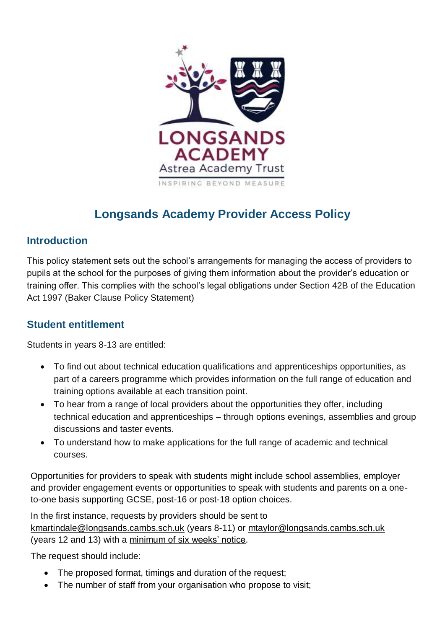

# **Longsands Academy Provider Access Policy**

### **Introduction**

This policy statement sets out the school's arrangements for managing the access of providers to pupils at the school for the purposes of giving them information about the provider's education or training offer. This complies with the school's legal obligations under Section 42B of the Education Act 1997 (Baker Clause Policy Statement)

### **Student entitlement**

Students in years 8-13 are entitled:

- To find out about technical education qualifications and apprenticeships opportunities, as part of a careers programme which provides information on the full range of education and training options available at each transition point.
- To hear from a range of local providers about the opportunities they offer, including technical education and apprenticeships – through options evenings, assemblies and group discussions and taster events.
- To understand how to make applications for the full range of academic and technical courses.

Opportunities for providers to speak with students might include school assemblies, employer and provider engagement events or opportunities to speak with students and parents on a oneto-one basis supporting GCSE, post-16 or post-18 option choices.

In the first instance, requests by providers should be sent to [kmartindale@longsands.cambs.sch.uk](mailto:kmartindale@longsands.cambs.sch.uk) (years 8-11) or [mtaylor@longsands.cambs.sch.uk](mailto:mtaylor@longsands.cambs.sch.uk) (years 12 and 13) with a minimum of six weeks' notice.

The request should include:

- The proposed format, timings and duration of the request;
- The number of staff from your organisation who propose to visit: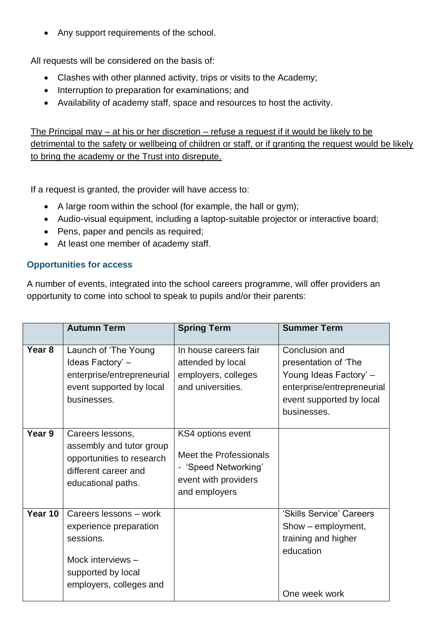• Any support requirements of the school.

All requests will be considered on the basis of:

- Clashes with other planned activity, trips or visits to the Academy;
- Interruption to preparation for examinations; and
- Availability of academy staff, space and resources to host the activity.

The Principal may – at his or her discretion – refuse a request if it would be likely to be detrimental to the safety or wellbeing of children or staff, or if granting the request would be likely to bring the academy or the Trust into disrepute.

If a request is granted, the provider will have access to:

- A large room within the school (for example, the hall or gym);
- Audio-visual equipment, including a laptop-suitable projector or interactive board;
- Pens, paper and pencils as required;
- At least one member of academy staff.

#### **Opportunities for access**

A number of events, integrated into the school careers programme, will offer providers an opportunity to come into school to speak to pupils and/or their parents:

|         | <b>Autumn Term</b>                                                                                                                  | <b>Spring Term</b>                                                                                           | <b>Summer Term</b>                                                                                                                        |
|---------|-------------------------------------------------------------------------------------------------------------------------------------|--------------------------------------------------------------------------------------------------------------|-------------------------------------------------------------------------------------------------------------------------------------------|
| Year 8  | Launch of 'The Young<br>Ideas Factory' -<br>enterprise/entrepreneurial<br>event supported by local<br>businesses.                   | In house careers fair<br>attended by local<br>employers, colleges<br>and universities.                       | Conclusion and<br>presentation of 'The<br>Young Ideas Factory' -<br>enterprise/entrepreneurial<br>event supported by local<br>businesses. |
| Year 9  | Careers lessons,<br>assembly and tutor group<br>opportunities to research<br>different career and<br>educational paths.             | KS4 options event<br>Meet the Professionals<br>- 'Speed Networking'<br>event with providers<br>and employers |                                                                                                                                           |
| Year 10 | Careers lessons - work<br>experience preparation<br>sessions.<br>Mock interviews -<br>supported by local<br>employers, colleges and |                                                                                                              | 'Skills Service' Careers<br>Show - employment,<br>training and higher<br>education<br>One week work                                       |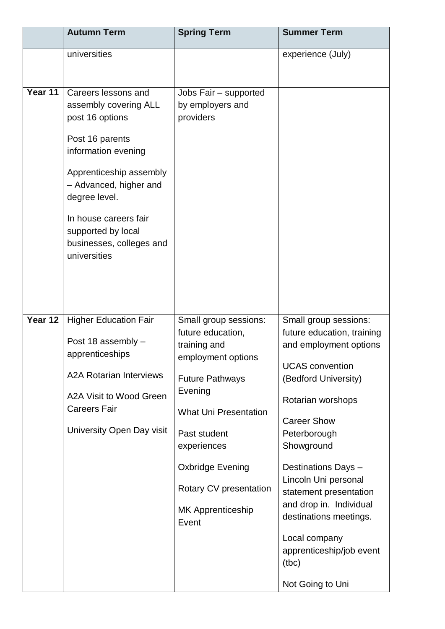|         | <b>Autumn Term</b>                                                                                                                                                                                                                                                         | <b>Spring Term</b>                                                                                                                                                                                                                                                      | <b>Summer Term</b>                                                                                                                                                                                                                                                                                                                                                                                               |
|---------|----------------------------------------------------------------------------------------------------------------------------------------------------------------------------------------------------------------------------------------------------------------------------|-------------------------------------------------------------------------------------------------------------------------------------------------------------------------------------------------------------------------------------------------------------------------|------------------------------------------------------------------------------------------------------------------------------------------------------------------------------------------------------------------------------------------------------------------------------------------------------------------------------------------------------------------------------------------------------------------|
|         | universities                                                                                                                                                                                                                                                               |                                                                                                                                                                                                                                                                         | experience (July)                                                                                                                                                                                                                                                                                                                                                                                                |
| Year 11 | Careers lessons and<br>assembly covering ALL<br>post 16 options<br>Post 16 parents<br>information evening<br>Apprenticeship assembly<br>- Advanced, higher and<br>degree level.<br>In house careers fair<br>supported by local<br>businesses, colleges and<br>universities | Jobs Fair - supported<br>by employers and<br>providers                                                                                                                                                                                                                  |                                                                                                                                                                                                                                                                                                                                                                                                                  |
| Year 12 | <b>Higher Education Fair</b><br>Post 18 assembly -<br>apprenticeships<br><b>A2A Rotarian Interviews</b><br>A2A Visit to Wood Green<br><b>Careers Fair</b><br>University Open Day visit                                                                                     | Small group sessions:<br>future education,<br>training and<br>employment options<br><b>Future Pathways</b><br>Evening<br><b>What Uni Presentation</b><br>Past student<br>experiences<br>Oxbridge Evening<br>Rotary CV presentation<br><b>MK Apprenticeship</b><br>Event | Small group sessions:<br>future education, training<br>and employment options<br><b>UCAS</b> convention<br>(Bedford University)<br>Rotarian worshops<br><b>Career Show</b><br>Peterborough<br>Showground<br>Destinations Days -<br>Lincoln Uni personal<br>statement presentation<br>and drop in. Individual<br>destinations meetings.<br>Local company<br>apprenticeship/job event<br>(tbc)<br>Not Going to Uni |